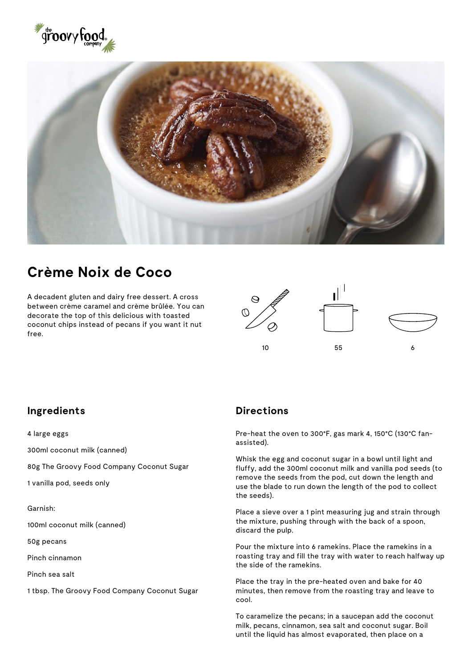



## **Crème Noix de Coco**

A decadent gluten and dairy free dessert. A cross between crème caramel and crème brûlée. You can decorate the top of this delicious with toasted coconut chips instead of pecans if you want it nut free.



## **Ingredients**

4 large eggs

300ml coconut milk (canned)

80g The Groovy Food Company Coconut Sugar

1 vanilla pod, seeds only

Garnish:

100ml coconut milk (canned)

50g pecans

Pinch cinnamon

Pinch sea salt

1 tbsp. The Groovy Food Company Coconut Sugar

## **Directions**

Pre-heat the oven to 300°F, gas mark 4, 150°C (130°C fanassisted).

Whisk the egg and coconut sugar in a bowl until light and fluffy, add the 300ml coconut milk and vanilla pod seeds (to remove the seeds from the pod, cut down the length and use the blade to run down the length of the pod to collect the seeds).

Place a sieve over a 1 pint measuring jug and strain through the mixture, pushing through with the back of a spoon, discard the pulp.

Pour the mixture into 6 ramekins. Place the ramekins in a roasting tray and fill the tray with water to reach halfway up the side of the ramekins.

Place the tray in the pre-heated oven and bake for 40 minutes, then remove from the roasting tray and leave to cool.

To caramelize the pecans; in a saucepan add the coconut milk, pecans, cinnamon, sea salt and coconut sugar. Boil until the liquid has almost evaporated, then place on a